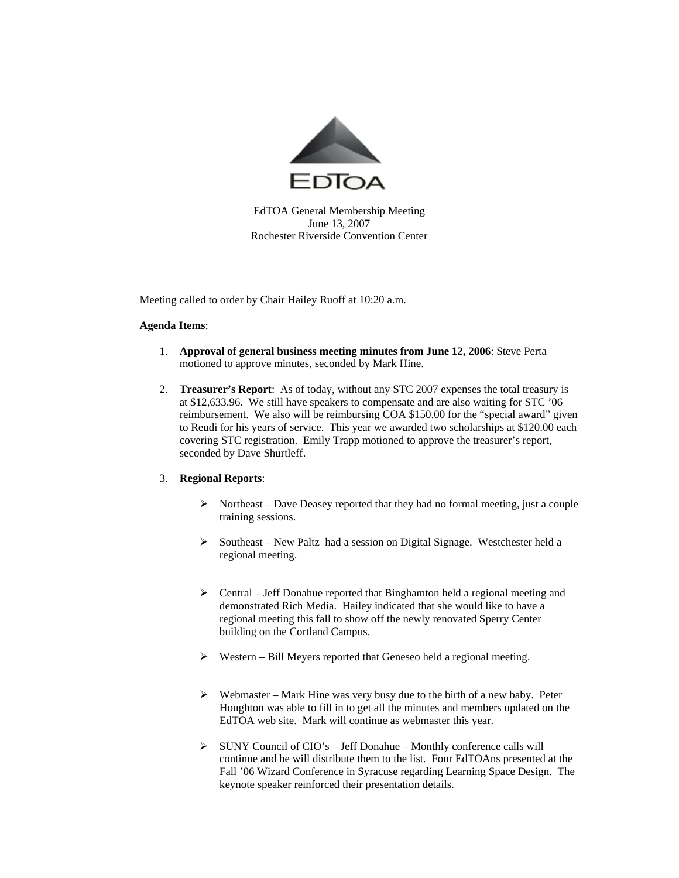

EdTOA General Membership Meeting June 13, 2007 Rochester Riverside Convention Center

Meeting called to order by Chair Hailey Ruoff at 10:20 a.m.

## **Agenda Items**:

- 1. **Approval of general business meeting minutes from June 12, 2006**: Steve Perta motioned to approve minutes, seconded by Mark Hine.
- 2. **Treasurer's Report**: As of today, without any STC 2007 expenses the total treasury is at \$12,633.96. We still have speakers to compensate and are also waiting for STC '06 reimbursement. We also will be reimbursing COA \$150.00 for the "special award" given to Reudi for his years of service. This year we awarded two scholarships at \$120.00 each covering STC registration. Emily Trapp motioned to approve the treasurer's report, seconded by Dave Shurtleff.

## 3. **Regional Reports**:

- $\triangleright$  Northeast Dave Deasey reported that they had no formal meeting, just a couple training sessions.
- ¾ Southeast New Paltz had a session on Digital Signage. Westchester held a regional meeting.
- ¾ Central Jeff Donahue reported that Binghamton held a regional meeting and demonstrated Rich Media. Hailey indicated that she would like to have a regional meeting this fall to show off the newly renovated Sperry Center building on the Cortland Campus.
- $\triangleright$  Western Bill Meyers reported that Geneseo held a regional meeting.
- $\triangleright$  Webmaster Mark Hine was very busy due to the birth of a new baby. Peter Houghton was able to fill in to get all the minutes and members updated on the EdTOA web site. Mark will continue as webmaster this year.
- ¾ SUNY Council of CIO's Jeff Donahue Monthly conference calls will continue and he will distribute them to the list. Four EdTOAns presented at the Fall '06 Wizard Conference in Syracuse regarding Learning Space Design. The keynote speaker reinforced their presentation details.